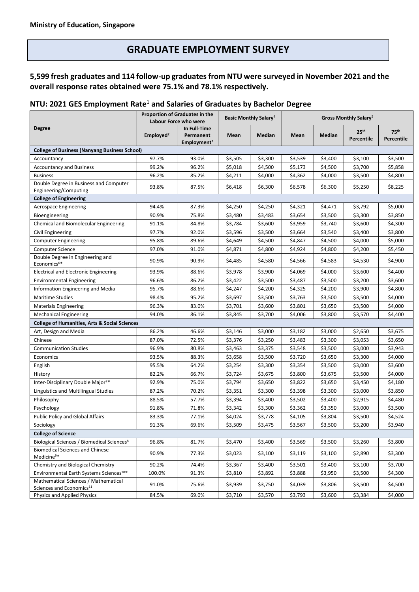# **GRADUATE EMPLOYMENT SURVEY**

## **5,599 fresh graduates and 114 follow-up graduates from NTU were surveyed in November 2021 and the overall response rates obtained were 75.1% and 78.1% respectively.**

### **NTU: 2021 GES Employment Rate**<sup>1</sup> **and Salaries of Graduates by Bachelor Degree**

| <b>Degree</b>                                                                | Proportion of Graduates in the<br>Labour Force who were |                                                      | <b>Basic Monthly Salary</b> <sup>4</sup> |         | Gross Monthly Salary <sup>5</sup> |         |                                |                                |  |  |  |  |
|------------------------------------------------------------------------------|---------------------------------------------------------|------------------------------------------------------|------------------------------------------|---------|-----------------------------------|---------|--------------------------------|--------------------------------|--|--|--|--|
|                                                                              | Emploved <sup>2</sup>                                   | In Full-Time<br>Permanent<br>Employment <sup>3</sup> | Mean                                     | Median  | Mean                              | Median  | 25 <sup>th</sup><br>Percentile | 75 <sup>th</sup><br>Percentile |  |  |  |  |
| <b>College of Business (Nanyang Business School)</b>                         |                                                         |                                                      |                                          |         |                                   |         |                                |                                |  |  |  |  |
| Accountancy                                                                  | 97.7%                                                   | 93.0%                                                | \$3,505                                  | \$3,300 | \$3,539                           | \$3,400 | \$3,100                        | \$3,500                        |  |  |  |  |
| <b>Accountancy and Business</b>                                              | 99.2%                                                   | 96.2%                                                | \$5,018                                  | \$4,500 | \$5,173                           | \$4,500 | \$3,700                        | \$5,858                        |  |  |  |  |
| <b>Business</b>                                                              | 96.2%                                                   | 85.2%                                                | \$4,211                                  | \$4,000 | \$4,362                           | \$4,000 | \$3,500                        | \$4,800                        |  |  |  |  |
| Double Degree in Business and Computer<br>Engineering/Computing              | 93.8%                                                   | 87.5%                                                | \$6,418                                  | \$6,300 | \$6,578                           | \$6,300 | \$5,250                        | \$8,225                        |  |  |  |  |
| <b>College of Engineering</b>                                                |                                                         |                                                      |                                          |         |                                   |         |                                |                                |  |  |  |  |
| Aerospace Engineering                                                        | 94.4%                                                   | 87.3%                                                | \$4,250                                  | \$4,250 | \$4,321                           | \$4,471 | \$3,792                        | \$5,000                        |  |  |  |  |
| Bioengineering                                                               | 90.9%                                                   | 75.8%                                                | \$3,480                                  | \$3,483 | \$3,654                           | \$3,500 | \$3,300                        | \$3,850                        |  |  |  |  |
| Chemical and Biomolecular Engineering                                        | 91.1%                                                   | 84.8%                                                | \$3,784                                  | \$3,600 | \$3,959                           | \$3,740 | \$3,600                        | \$4,300                        |  |  |  |  |
| Civil Engineering                                                            | 97.7%                                                   | 92.0%                                                | \$3,596                                  | \$3,500 | \$3,664                           | \$3,540 | \$3,400                        | \$3,800                        |  |  |  |  |
| <b>Computer Engineering</b>                                                  | 95.8%                                                   | 89.6%                                                | \$4,649                                  | \$4,500 | \$4,847                           | \$4,500 | \$4,000                        | \$5,000                        |  |  |  |  |
| <b>Computer Science</b>                                                      | 97.0%                                                   | 91.0%                                                | \$4,871                                  | \$4,800 | \$4,924                           | \$4,800 | \$4,200                        | \$5,450                        |  |  |  |  |
| Double Degree in Engineering and<br>Economics <sup>6*</sup>                  | 90.9%                                                   | 90.9%                                                | \$4,485                                  | \$4,580 | \$4,566                           | \$4,583 | \$4,530                        | \$4,900                        |  |  |  |  |
| <b>Electrical and Electronic Engineering</b>                                 | 93.9%                                                   | 88.6%                                                | \$3,978                                  | \$3,900 | \$4,069                           | \$4,000 | \$3,600                        | \$4,400                        |  |  |  |  |
| <b>Environmental Engineering</b>                                             | 96.6%                                                   | 86.2%                                                | \$3,422                                  | \$3,500 | \$3,487                           | \$3,500 | \$3,200                        | \$3,600                        |  |  |  |  |
| Information Engineering and Media                                            | 95.7%                                                   | 88.6%                                                | \$4,247                                  | \$4,200 | \$4,325                           | \$4,200 | \$3,900                        | \$4,800                        |  |  |  |  |
| <b>Maritime Studies</b>                                                      | 98.4%                                                   | 95.2%                                                | \$3,697                                  | \$3,500 | \$3,763                           | \$3,500 | \$3,500                        | \$4,000                        |  |  |  |  |
| <b>Materials Engineering</b>                                                 | 96.3%                                                   | 83.0%                                                | \$3,701                                  | \$3,600 | \$3,801                           | \$3,650 | \$3,500                        | \$4,000                        |  |  |  |  |
| <b>Mechanical Engineering</b>                                                | 94.0%                                                   | 86.1%                                                | \$3,845                                  | \$3,700 | \$4,006                           | \$3,800 | \$3,570                        | \$4,400                        |  |  |  |  |
| <b>College of Humanities, Arts &amp; Social Sciences</b>                     |                                                         |                                                      |                                          |         |                                   |         |                                |                                |  |  |  |  |
| Art, Design and Media                                                        | 86.2%                                                   | 46.6%                                                | \$3,146                                  | \$3,000 | \$3,182                           | \$3,000 | \$2,650                        | \$3,675                        |  |  |  |  |
| Chinese                                                                      | 87.0%                                                   | 72.5%                                                | \$3,376                                  | \$3,250 | \$3,483                           | \$3,300 | \$3,053                        | \$3,650                        |  |  |  |  |
| <b>Communication Studies</b>                                                 | 96.9%                                                   | 80.8%                                                | \$3,463                                  | \$3,375 | \$3,548                           | \$3,500 | \$3,000                        | \$3,943                        |  |  |  |  |
| Economics                                                                    | 93.5%                                                   | 88.3%                                                | \$3,658                                  | \$3,500 | \$3,720                           | \$3,650 | \$3,300                        | \$4,000                        |  |  |  |  |
| English                                                                      | 95.5%                                                   | 64.2%                                                | \$3,254                                  | \$3,300 | \$3,354                           | \$3,500 | \$3,000                        | \$3,600                        |  |  |  |  |
| History                                                                      | 82.2%                                                   | 66.7%                                                | \$3,724                                  | \$3,675 | \$3,800                           | \$3,675 | \$3,500                        | \$4,000                        |  |  |  |  |
| Inter-Disciplinary Double Major <sup>7*</sup>                                | 92.9%                                                   | 75.0%                                                | \$3,794                                  | \$3,650 | \$3,822                           | \$3,650 | \$3,450                        | \$4,180                        |  |  |  |  |
| Linguistics and Multilingual Studies                                         | 87.2%                                                   | 70.2%                                                | \$3,351                                  | \$3,300 | \$3,398                           | \$3,300 | \$3,000                        | \$3,850                        |  |  |  |  |
| Philosophy                                                                   | 88.5%                                                   | 57.7%                                                | \$3,394                                  | \$3,400 | \$3,502                           | \$3,400 | \$2,915                        | \$4,480                        |  |  |  |  |
| Psychology                                                                   | 91.8%                                                   | 71.8%                                                | \$3,342                                  | \$3,300 | \$3,362                           | \$3,350 | \$3,000                        | \$3,500                        |  |  |  |  |
| <b>Public Policy and Global Affairs</b>                                      | 83.3%                                                   | 77.1%                                                | \$4,024                                  | \$3,778 | \$4,105                           | \$3,804 | \$3,500                        | \$4,524                        |  |  |  |  |
| Sociology                                                                    | 91.3%                                                   | 69.6%                                                | \$3,509                                  | \$3,475 | \$3,567                           | \$3,500 | \$3,200                        | \$3,940                        |  |  |  |  |
| <b>College of Science</b>                                                    |                                                         |                                                      |                                          |         |                                   |         |                                |                                |  |  |  |  |
| Biological Sciences / Biomedical Sciences <sup>8</sup>                       | 96.8%                                                   | 81.7%                                                | \$3,470                                  | \$3,400 | \$3,569                           | \$3,500 | \$3,260                        | \$3,800                        |  |  |  |  |
| <b>Biomedical Sciences and Chinese</b><br>Medicine <sup>9*</sup>             | 90.9%                                                   | 77.3%                                                | \$3,023                                  | \$3,100 | \$3,119                           | \$3,100 | \$2,890                        | \$3,300                        |  |  |  |  |
| Chemistry and Biological Chemistry                                           | 90.2%                                                   | 74.4%                                                | \$3,367                                  | \$3,400 | \$3,501                           | \$3,400 | \$3,100                        | \$3,700                        |  |  |  |  |
| Environmental Earth Systems Sciences <sup>10*</sup>                          | 100.0%                                                  | 91.3%                                                | \$3,810                                  | \$3,892 | \$3,888                           | \$3,950 | \$3,500                        | \$4,300                        |  |  |  |  |
| Mathematical Sciences / Mathematical<br>Sciences and Economics <sup>11</sup> | 91.0%                                                   | 75.6%                                                | \$3,939                                  | \$3,750 | \$4,039                           | \$3,806 | \$3,500                        | \$4,500                        |  |  |  |  |
| Physics and Applied Physics                                                  | 84.5%                                                   | 69.0%                                                | \$3,710                                  | \$3,570 | \$3,793                           | \$3,600 | \$3,384                        | \$4,000                        |  |  |  |  |